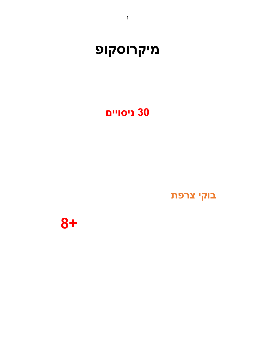**8+**

בוקי צרפת

## **ʭʩʩʥʱʩʰ 30**

# **מיקרוסקופ**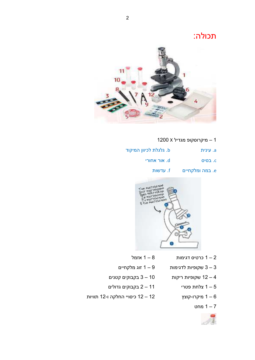תכולה:



- 1200 X מיקרוסקופ מגדיל 1200
- טענית גלגלת לכיוון המיקוד .a
	- ʩʸʥʧʠ ʸʥʠ .d ʱʩʱʡ .c
		- במה ומלקחיים .f . עדשות



- אזמל  $1 8$  כרטיס דגימות  $3 1$  אזמל
- שקופיות לדגימות  $9 9$  זוג מלקחיים 3 $-3$
- שקופיות ריקות  $12 3 10$  שקופיות ריקות  $-4$ 
	-
	- - מחט<br>7 1 מחט



- 
- צלחת פטרי  $1 1$  בקבוקים גדולים  $1 5$
- מיקרו-קוצץ 12 $-12$  כיסויי החלקה ו-12 תוויות  $6$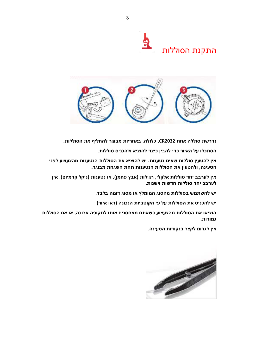



נדרשת סוללה אחת CR2032, כלולה. באחריות מבוגר להחליף את הסוללות.

הסתכלו על האיור כדי להבין כיצד להוציא ולהכניס סוללות.

אין להטעין סוללות שאינו נטענות. יש להוציא את הסוללות הנטענות מהצעצוע לפני הטעינה, ולהטעין את הסוללות הנטענות תחת השגחת מבוגר.

אין לערבב יחד סוללות אלקלי, רגילות (אבץ פחמן), או נטענות (ניקל קדמיום). אין **.טערבב יחד סוללות חדשות וישנות** 

יש להשתמש בסוללות מהסוג המומלץ או מסוג דומה בלבד.

יש להכניס את הסוללות על פי הקוטביות הנכונה (ראו איור).

הוציאו את הסוללות מהצעצוע כשאתם מאחסנים אותו לתקופה ארוכה, או אם הסוללות **.גמורות** 

אין לגרום לקצר בנקודות הטעינה.

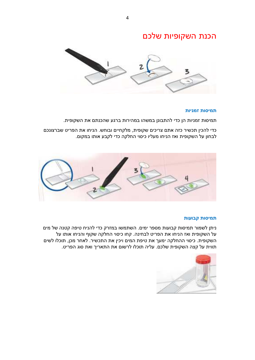### הכנת השקופיות שלכם



#### **ʥʺ ʩʰʮʦ ʺʥʱʩʮʺ**

. תמיסות זמניות הן כדי להתבונן במשהו במהירות ברגע שהכנתם את השקופית

כדי להכין תכשיר כזה אתם צריכים שקופית, מלקחיים ובוחש. הניחו את הפריט שברצונכם לבחון על השקופית ואז הניחו מעליו כיסוי החלקה כדי לקבע אותו במקום.



#### תמיסות קבועות

ניתן לשמור תמיסות קבועות מספר ימים. השתמשו במזרק כדי להניח טיפה קטנה של מים על השקופית ואז הניחו את הפריט לבחינה. קחו כיסוי החלקה שקוף והניחו אותו על השקופית. כיסוי ההחלקה ימעך את טיפת המים ויכין את התכשיר. לאחר מכן, תוכלו לשים תווית על קצה השקופית שלכם. עליה תוכלו לרשום את התאריך ואת סוג הפריט.

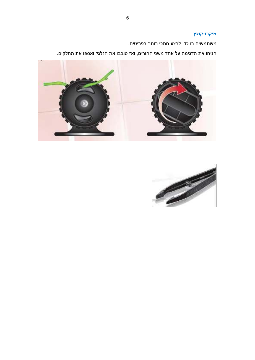#### <mark>ּ</mark>מיקרו-קוצץ

משתמשים בו כדי לבצע חתכי רוחב בפריטים.

. הניחו את הדגימה על אחד משני החורים, ואז סובבו את הגלגל ואספו את החלקים



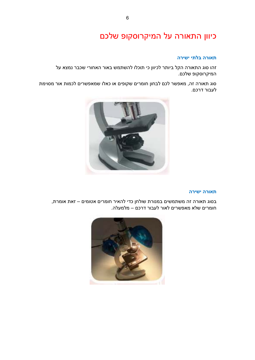## כיוון התאורה על המיקרוסקופ שלכם

#### תאורה בלתי ישירה

זהו סוג התאורה הקל ביותר לכיוון כי תוכלו להשתמש באור האחורי שכבר נמצא על המיקרוסקופ שלכם.

סוג תאורה זה, מאפשר לכם לבחון חומרים שקופים או כאלו שמאפשרים לכמות אור מסוימת לעבור דרכם.



#### תאורה ישירה

בסוג תאורה זה משתמשים במנורת שולחן כדי להאיר חומרים אטומים – זאת אומרת, . חומרים שלא מאפשרים לאור לעבור דרכם – מלמעלה

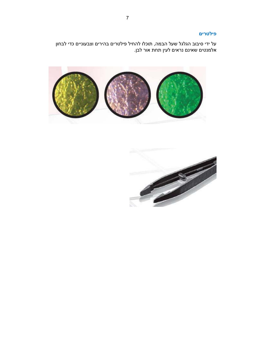#### $g$ **ילטרים**

על ידי סיבוב הגלגל שעל הבמה, תוכלו להחיל פילטרים בהירים וצבעוניים כדי לבחון . אלמנטים שאינם נראים לעין תחת אור לבן



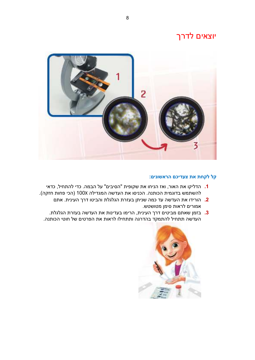### יוצאים לדרך



#### הל לקחת את צעדיכם הראשונים:

- ʩʠʣʫ ,ʬʩʧʺʤʬ ʩʣʫ .ʤʮʡʤ ʬʲ "ʭʩʡʩʱʤ" ʺʩʴʥʷʹ ʺʠ ʥʧʩʰʤ ʦʠʥ ,ʸʥʠʤ ʺʠ ʥʷʩʬʣʤ **1.** להשתמש בדוגמית הכותנה. הכניסו את העדשה המגדילה 100X (הכי פחות חזקה).
	- הורידו את העדשה עד כמה שניתן בעזרת הגלגלת והביטו דרך העינית. אתם **2.** ... אמורים לראות סימן מטושטש
	- **.** בזמן שאתם מביטים דרך העינית, הרימו בעדינות את העדשה בעזרת הגלגלת. העדשה תתחיל להתמקד בהדרגה ותתחילו לראות את הפרטים של חוטי הכותנה.

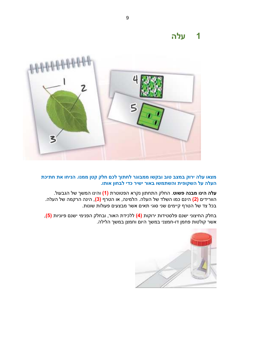### **ʤʬʲ 1**



#### <mark>מצאו עלה ירוק במצב טוב ובקשו ממבוגר לחתוך לכם חלק קטן ממנו. הניחו את חתיכת</mark> העלה על השקופית והשתמשו באור ישיר כדי לבחון אותו.

 **הינו מבנה פשוט** $. החלק התחתון נקרא הפטוטרת (1) והינו המשך של הגבעול.$ הוורידים <mark>(2)</mark> הינם כמו השלד של העלה. הלמינה, או הטרף <mark>(3)</mark>, הינה הרקמה של העלה. בכל צד של הטרף קיימים שני סוגי תאים אשר מבצעים פעולות שונות.

בחלק החיצוני ישנם פלסטידות ירוקות (4**)** ללכידת האור, ובחלק הפנימי ישנם פיוניות (<mark>5)</mark>, .<br>אשר קולטות פחמן דו-חמצני במשך היום וחמצן במשך הלילה

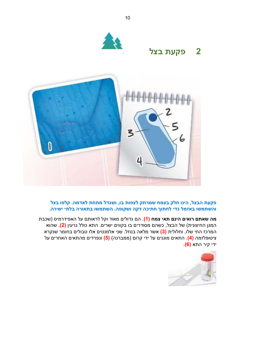

#### פקעת הבצל, הינו חלק בצמח שמרתק לצפות בו, ושגדל מתחת לאדמה. קלפו בצל .<br>והשתמשו באזמל כדי לחתוך חתיכה דקה ושקופה. השתמשו בתאורה בלתי ישירה.

מה שאתם רואים הינם תאי צמח (1). הם גדולים מאוד וקל לראותם על האפידרמיס (שכבת המגן החיצונית) של הבצל, כשהם מסודרים בו בקווים ישרים. התא כולל גרעין <mark>(2</mark>), שהוא המרכז החי שלו, וחלולית (3**)** אשר מלאה בנוזל. שני אלמנטים אלו טבולים בחומר שנקרא ציטופלזמה <mark>(4)</mark>. התאים מוגנים על ידי קרום (ממברנה) <mark>(5)</mark> ונפרדים מהתאים האחרים על ידי קיר התא (6**)**.

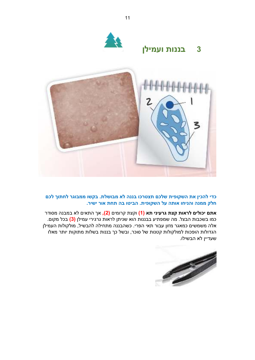

כדי להכין את השקופית שלכם תצטרכו בננה לא מבושלת. בקשו ממבוגר לחתוך לכם תלק ממנה והניחו אותה על השקופית. הביטו בה תחת אור ישיר.

<mark>אתם יכולים לראות קצת גרעיני תא (1)</mark> וקצת קרומים (<mark>2),</mark> אך התאים לא במבנה מסודר כמו בשכבות הבצל. מה שמפתיע בבננות הוא שניתן לראות גרגירי עמילן <mark>(3)</mark> בכל מקום. אלה משמשים כמאגר מזון עבור תאי הפרי. כשהבננה מתחילה להבשיל, מולקולות העמילן הגדולות הופכות למולקולות קטנות של סוכר, ובשל כך בננות בשלות מתוקות יותר מאלו שעדיין לא הבשילו.

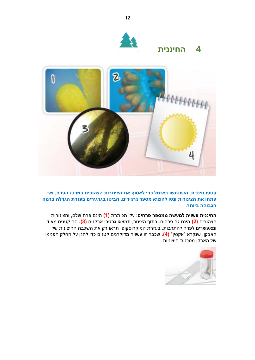

### **ʺʩʰʰʩʧʤ 4**



 **ʦʠʥ ,ʧʸʴʤ ʦʫʸʮʡ ʭʩʡʥʤʶʤ ʺʥʸʥʰʩʶʤ ʺʠ ʳʥʱʠʬ ʩʣʫ ʬʮʦʠʡ ʥʹʮʺʹʤ .ʺʩʰʰʩʧ ʥʴʨʷ** <mark>פתחו את הצינורות ונסו להוציא מספר גרגירים. הביטו בגרגירים בעזרת הגדלה ברמה</mark> **.הגבוהה ביותר** 

החיננית עשויה למעשה ממספר פרחים: עלי הכותרת (1) הינם פרח שלם, והצינורות הצהובים <mark>(2)</mark> הינם גם פרחים. בתוך הצינור, תמצאו גרגירי אבקנים <mark>(3).</mark> הם קטנים מאוד ומאפשרים לפרח להתרבות. בעזרת המיקרוסקופ, תראו רק את השכבה החיצונית של האבקן, שנקרא "אקסין" (<mark>4).</mark> שכבה זו עשויה מדוקרנים קטנים כדי להגן על החלק הפנימי של האבקן מסכנות חיצוניות.

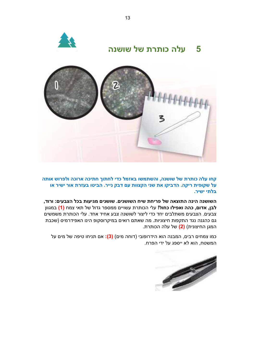



קחו עלה כותרת של שושנה, והשתמשו באזמל כדי לחתוך חתיכה ארוכה ולפרוש אותה  **ʥʠ ʸʩʹʩ ʸʥʠ ʺʸʦʲʡ ʥʨʩʡʤ .ʸʩʩʰ ʷʡʣ ʭʲ ʺʥʥʶʷʤ ʩʰʹ ʺʠ ʥʷʩʡʣʤ .ʤʷʩʸ ʺʩʴʥʷʹ ʬʲ בלתי ישיר.** 

השושנה הינה התוצאה של פריחת שיח השושנים. שושנים מגיעות בכל הצבעים: ורוד, **לבן, אדום, כהה ואפילו כחול!** עלי הכותרת עשויים ממספר גדול של תאי צמח <mark>(1)</mark> במגוון צבעים. הצבעים משתלבים יחד כדי ליצור לשושנה צבע אחיד אחד. עלי הכותרת משמשים גם כהגנה נגד התקפות חיצוניות. מה שאתם רואים במיקרוסקופ הינו האפידרמיס (שכבת המגן החיצונית) (2<mark>)</mark> של עלה הכותרת.

כמו צמחים רבים, המבנה הוא הידרופובי (דוחה מים) **(3):** אם תניחו טיפה של מים על המשטח, הוא לא ייספג על ידי הפרח.

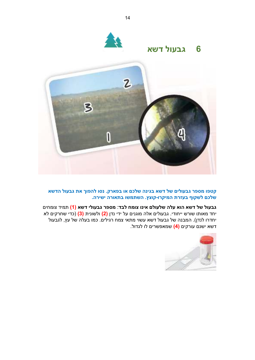

קטפו מספר גבעולים של דשא בגינה שלכם או בפארק. נסו להפוך את גבעול הדשא שלכם לשקוף בעזרת המיקרו-קוצץ. השתמשו בתאורה ישירה.

גבעול של דשא הוא עלה שלעולם אינו צומח לבד: מספר גבעולי דשא (1) תמיד צומחים יחד מאותו שורש ייחודי. גבעולים אלה מוגנים על ידי נדן <mark>(2)</mark> ולשונית <mark>(3</mark>) (כדי שחרקים לא יחדרו לנדן). המבנה של גבעול דשא עשוי מתאי צמח רגילים. כמו בעלה של עץ, לגבעול <del>ַ</del> דשא ישנם עורקים (4) שמאפשרים לו לגדול.



14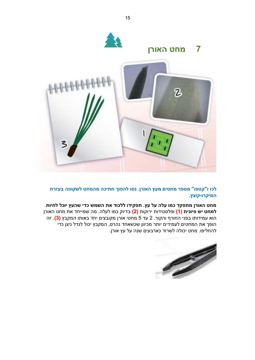

לכו ו"קטפו" מספר מחטים מעץ האורן. נסו להפוך חתיכה מהמחט לשקופה בעזרת .**המיקרו-קוצץ** 

.<br>מחט האורן מתפקד כמו עלה על עץ. תפקידו ללכוד את השמש כדי שהעץ יוכל לחיות <mark>למחט יש פיונית (1)</mark> ופלסטידות ירוקות (<mark>2)</mark> בדיוק כמו לעלה. מה שמייחד את מחט האורן הוא עמידותו בפני החורף והקור. 2 עד 5 מחטי אורן מקובצים יחד באותו המקבץ (**3)**. זה הופך את המחטים לעמידים יותר מכיוון שכשאחד נהרס, המקבץ יכול לגדל ניצן כדי להחליפו. מחט יכולה לשרוד כארבעים שנה על עץ אורן.

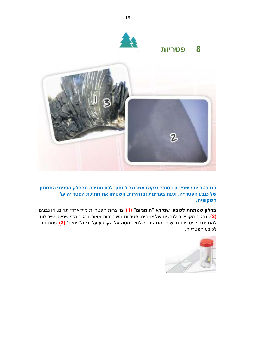

קנו פטריית שמפיניון בסופר ובקשו ממבוגר לחתוך לכם חתיכה מהחלק הפנימי התחתון של כובע הפטרייה. וכעת בעדינות ובזהירות, השטיחו את חתיכת הפטרייה על .<br>השקופית

בחלק שמתחת לכובע, שנקרא "הימניום" (1), מייצרות הפטריות מיליארדי תאים, או נבגים בגים מקבילים לזרעים של צמחים. פטריות משחררות מאות נבגים מדי שנייה, שיכולות<mark>).</mark> ב <mark>להתפתח לפטריות חדשות. הנבגים נשלחים מטה אל הקרקע על ידי ה"זימים" **(3)** שמתחת</mark> לכובע הפטרייה.

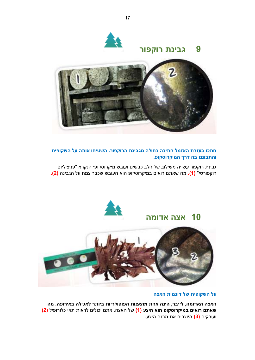







חתכו בעזרת האזמל חתיכה כחולה מגבינת הרוקפור. השטיחו אותה על השקופית **.ʴʥʷʱʥʸʷʩʮʤ ʪʸʣ ʤʡ ʥʰʰʥʡʺʤʥ**

גבינת רוקפור עשויה משילוב של חלב כבשים ועובש מיקרוסקופי הנקרא "פניציליום <mark>רוקפורטי" (1).</mark> מה שאתם רואים במיקרוסקופ הוא העובש שכבר צמח על הגבינה **(2).** 



## **ʤʮʥʣʠ ʤʶʠ 10**



#### <mark>על השקופית של דוגמית האצה</mark>

האצה האדומה, לייבר, הינה אחת מהאצות הפופולריות ביותר לאכילה באירופה. מה  **) (2** ʬʩʴʥʸʥʬʫ ʩʠʺ ʺʥʠʸʬ ʭʩʬʥʫʩ ʭʺʠ .ʤʶʠʤ ʬʹ **) (1 ʲʶʩʤ ʠʥʤ ʴʥʷʱʥʸʷʩʮʡ ʭʩʠʥʸ ʭʺʠʹ** ועורקים <mark>(3)</mark> היוצרים את מבנה היצע.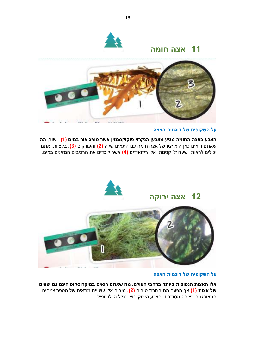

### <mark>11 אצה חומה</mark>



#### <mark>על השקופית של דוגמית האצה</mark>

הצבע באצה החומה מגיע מצבען הנקרא פוקוקסנטין אשר סופג אור במים (1). ושוב, מה שאתם רואים כאן הוא יצע של אצה חומה עם התאים שלה (2<mark>)</mark> והעורקים (3). בקצוות, אתם יכולים לראות "שערות" קטנות: אלו ריזואידים (<mark>4)</mark> אשר לוכדים את הרכיבים המזינים במים.



#### <mark>על השקופית של דוגמית האצה</mark>

אלו האצות הנפוצות ביותר ברחבי העולם. מה שאתם רואים במיקרוסקופ הינם גם יצעים ʭʩʧʮʶ ʸʴʱʮ ʬʹ ʭʩʠʺʮ ʭʩʩʥʹʲ ʥʬʠ ʭʩʡʩʱ **.) (2** ʭʩʡʩʱ ʺʸʥʶʡ ʭʤ ʭʲʴʤ ʪʠ **(1) ʺʥʶʠ ʬʹ** המאורגנים בצורה מסודרת. הצבע הירוק הוא בגלל הכלורופיל.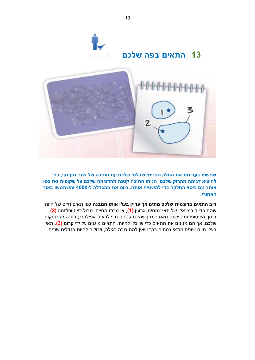

שפשפו בעדינות את החלק הפנימי שבלחי שלכם עם חתיכה של צמר גפן נקי, כדי להוציא דגימה מהרוק שלכם. הניחו חתיכה קטנה מהדגימה שלכם על שקופית ואז כסו אותה עם כיסוי החלקה כדי להשטיח אותה. כוונו את ההגדלה ל-400X והשתמשו באור .**האחורי** 

<mark>רוב התאים בדוגמית שלכם מתים אך עדיין בעלי אותו המבנה</mark> כמו תאים חיים של חיות, שהם בדיוק כמו אלו של תאי צמחים: גרעין (1), או מרכז החיים, טבול בציטופלזמה (<mark>2)</mark>. בתוך הציטופלזמה ישנם מאגרי מזון שהינם קטנים מדי לראות אפילו בעזרת המיקרוסקופ שלכם, אך הם מזינים את התאים כדי שיוכלו לחיות. התאים מוגנים על ידי קרום <mark>(3)</mark>. תאי בעלי חיים שונים מתאי צמחים בכך שאין להם צורה רגילה, ויכולים להיות בגדלים שונים.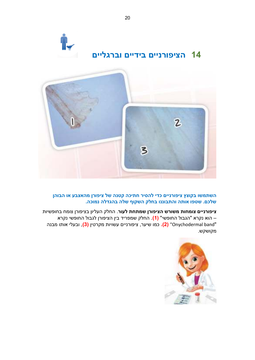



### השתמשו בקוצץ ציפורניים כדי להסיר חתיכה קטנה של ציפורן מהאצבע או הבוהן שלכם. שטפו אותה והתבוננו בחלק השקוף שלה בהגדלה נמוכה.

<mark>ציפורניים צומחות משורש הציפורן שמתחת לעור</mark>. החלק העליון בציפורן צומח בחופשיות הוא נקרא "הגבול החופשי" (<mark>1)</mark>. החלק שמפריד בין הציפורן לגבול החופשי נקרא – ʤʰʡʮ ʥʺʥʠ ʩʬʲʡʥ , **(3)** ʯʩʨʸʷʮ ʺʥʩʥʹʲ ʭʩʩʰʸʥʴʩʶ ,ʸʲʩʹ ʥʮʫ **.) (2** "Onychodermal band" מקושקש.

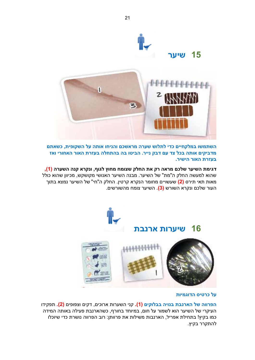

השתמשו במלקחיים כדי לתלוש שערה מראשכם והניחו אותה על השקופית, כשאתם מדביקים אותה בכל צד עם דבק נייר. הביטו בה בהתחלה בעזרת האור האחורי ואז **.בעזרת האור הישיר** 

דגימת השיער שלכם מראה רק את החלק שצומח מחוץ לגוף, ונקרא קנה השערה (1<mark>)</mark>, שהוא למעשה החלק ה"מת" של השיער. מבנה השיער האנושי מקושקש, מכיוון שהוא כולל מאות תאי תירס (**2)** שעשויים מחומר הנקרא קרטין. החלק ה"חי" של השיער נמצא בתוך העור שלכם ונקרא השורש <mark>(3)</mark>. השיער צומח מהשורשים.



#### על כרטיס הדוגמיות

הפרווה של הארנבת בנויה בבלוקים (1). קני השערות ארוכים, דקים וצפופים (2). תפקידו העיקרי של השיער הוא לשמור על חום, במיוחד בחורף, כשהארנבת פעילה באותה המידה כמו בקיץ! בתחילת אפריל, הארנבות משילות את פרוותן: רוב הפרווה נושרת כדי שיוכלו להתקרר בקיץ.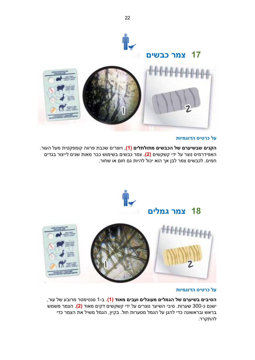

#### על כרטיס הדוגמיות

ה**קנים שבשיערם של הכבשים מתולתלים (1)**, ויוצרים שכבת פרווה קומפקטית מעל העור. האפידרמיס נוצר על ידי קשקשים (2**).** צמר כבשים בשימוש כבר מאות שנים לייצור בגדים . חמים. לכבשים צמר לבן אך הוא יכול להיות גם חום או שחור



#### על כרטיס הדוגמיות

ה**סיבים בשיערם של הגמלים מעוגלים ועבים מאוד (1)**. ב-1 סנטימטר מרובע של עור, ישנם כ-300 שערות. סיבי השיער נוצרים על ידי קשקשים דקים מאוד <mark>(2)</mark>. הצמר משמש בראש ובראשונה כדי להגן על הגמל מסערות חול. בקיץ, הגמל משיל את הצמר כדי להתקרר.

22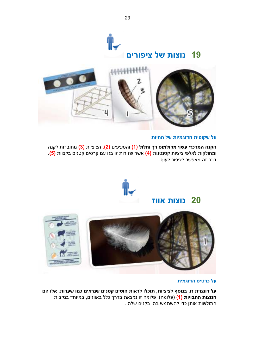



#### <mark>על שקופית הדוגמיות של החיות</mark>

הקנה המרכזי עשוי מקולמוס רך וחלול (1) והסעיפים (2). הציציות (3) מחוברות לקנה ומחולקות לאלפי ציציות קטנטנות (4**)** אשר שזורות זו בזו עם קרסים קטנים בקצוות (<mark>5</mark>). ָדבר זה מאפשר לציפור לעוף.



### **ʦʥʥʠ ʺʥʶʥʰ 20**



#### **ʺʩʮʢʥʣʤ ʱʩʨʸʫ ʬʲ**

על דוגמית זו, בנוסף לציציות, תוכלו לראות חוטים קטנים שנראים כמו שערות. אלו הם הנוצות החבויות (1) (פלומה). פלומה זו נמצאת בדרך כלל באווזים, במיוחד בנקבות התולשות אותן כדי להשתמש בהן בקנים שלהן.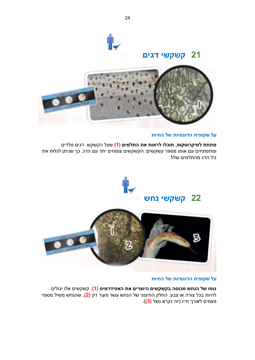

### **ʭʩʢʣ ʩʹʷʹʷ 21**



#### **ʺʥʩʧʤ ʬʹ ʥʺ ʩʮʢʥʣʤ ʺʩʴʥʷʹ ʬʲ**

**מתחת למיקרוסקופ, תוכלו לראות את התלמים (1)** שעל הקשקש. דגים נולדים ומתפתחים עם אותו מספר קשקשים: הקשקשים צומחים יחד עם הדג. כך שניתן לגלות את  $\epsilon$ גיל הדג מהחלמיח שלו



#### **ʺʥʩʧʤ ʬʹ ʺʥʩʮʢʥʣʤ ʺʩʴʥʷʹ ʬʲ**

<mark>גופו של הנחש מכוסה בקשקשים היוצרים את האפידרמיס (1).</mark> קשקשים אלו יכולים להיות בכל צורה או צבע. החלק החיצוני של הנחש עשוי מעור דק <mark>(2)</mark>, שהנחש משיל מספר פעמים לאורך חייו (זה נקרא נשל <mark>(3)</mark>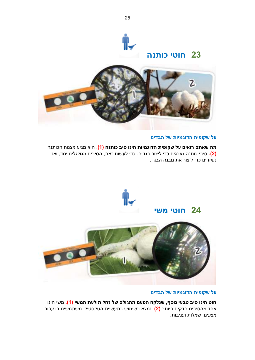

### **ʤʰʺʥʫ ʩʨʥʧ 23**



#### **ʭʩʣʡʤ ʬʹ ʺʥʩʮʢʥʣʤ ʺʩʴʥʷʹ ʬʲ**

<mark>מה שאתם רואים על שקופית הדוגמיות הינו סיב כותנה (1</mark>). הוא מגיע מצמח הכותנה ʦʠʥ ,ʣʧʩ ʭʩʬʢʬʥʢʮ ʭʩʡʩʱʤ ,ʺʠʦ ʺʥʹʲʬ ʩʣʫ .ʭʩʣʢʡ ʸʥʶʩʬ ʩʣʫ ʭʩʢʸʠʰ ʤʰʺʥʫ ʩʡʩʱ **.) (2** <u>נשזרים כדי ליצור את מבנה הבגד.</u>



#### **ʭʩʣʡʤ ʬʹ ʺʥʩʮʢʥʣʤ ʺʩʴʥʷʹ ʬʲ**

<mark>חוט הינו סיב טבעי נוסף, שנלקח הפעם מהגולם של זחל תולעת המשי (1).</mark> משי הינו אחד מהסיבים הדקים ביותר <mark>(2)</mark> ונמצא בשימוש בתעשיית הטקסטיל. משתמשים בו עבור מצעים, שמלות ועניבות.

25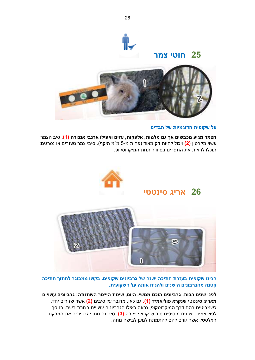

#### **ʭʩʣʡʤ ʬʹ ʺʥʩʮʢʥʣʤ ʺʩʴʥʷʹ ʬʲ**

הצמר מגיע מכבשים אך גם מלמות, אלפקות, עזים ואפילו ארנבי אנגורה (1). סיב הצמר :ʭʩʢʸʱʰ ʥʠ ʭʩʸʦʹʰ ʸʮʶ ʩʡʩʱ .)ʳʷʩʤ ʮ"ʮ -5 ʮ ʺʥʧʴ( ʣʥʠʮ ʷʣ ʺʥʩʤʬ ʬʥʫʩʥ **(2)** ʯʩʨʸʷʮ ʩʥʹʲ תוכלו לראות את התפרים בסוודר תחת המיקרוסקופ.



### **ʩʨʨʰʩʱ ʢʩʸʠ 26**



הכינו שקופית בעזרת חתיכה ישנה של גרביונים שקופים. בקשו ממבוגר לחתוך חתיכה קטנה מהגרבונים הישנים ולהניח אותה על השקופית.

לפני שנים רבות, גרביונים הוכנו ממשי. היום, שיטת הייצור השתנתה: גרביונים עשויים **מאריג סינטטי שנקרא פוליאמיד (1).** גם כאן, מדובר על סיבים <mark>(2)</mark> אשר שזורים יחד. כשמביטים בהם דרך המיקרוסקופ, נראה כאילו הגרביונים עשויים בצורת רשת. בנוסף לפוליאמיד, יצרנים מוסיפים סיב שנקרא לייקרה <mark>(3)</mark>. סיב זה נותן לגרביונים את המרקם האלסטי, אשר גורם להם להתמתח למען לבישה נוחה.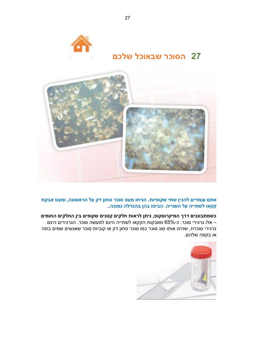



### <mark>אתם עומדים להכין שתי שקופיות. הניחו מעט סוכר טחון דק על הראשונה, ומעט אבקת</mark> הקאו לשתייה על השנייה. הביטו בהן בהגדלה נמוכה..

#### כשמתבוננים דרך המיקרוסקופ, ניתן לראות חלקים קטנים שקופים בין החלקים החומים אלו גרגירי סוכר. כ-65% מאבקות הקקאו לשתייה הינם למעשה סוכר. הגרגירים הינם <del>–</del> גרגירי סוכרוז, שהינו אותו סוג סוכר כמו סוכר טחון דק או קוביות סוכר שאנשים שמים בתה או בקפה שלהם.

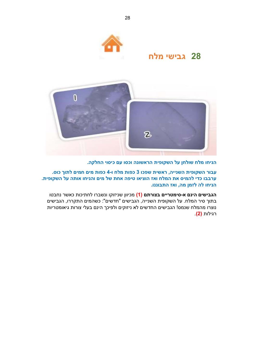

### **ʧʬʮ ʩʹʩʡʢ 28**



הניחו מלח שולחן על השקופית הראשונה וכסו עם כיסוי החלקה.

 **.ʱʥʫ ʪʥʺʬ ʭʩʮʧ ʭʩʮ ʺʥʴʫ -4 ʥ ʧʬʮ ʺʥʴʫ 3 ʥʫʴʹ ʺʩʹʠʸ ,ʤʩʩʰʹʤ ʺʩʴʥʷʹʤ ʸʥʡʲ** ערבבו כדי להמיס את המלח ואז הוציאו טיפה אחת של מים והניחו אותה על השקופית. הניחו לה לזמן מה, ואז התבוננו.

הגבישים הינם א-סימטריים בצורתם (1) מכיוון שניזוקו ונשברו לחתיכות כאשר נחבטו בתוך סיר המלח. על השקופית השנייה, הגבישים "חדשים": כשהמים התקררו, הגבישים נוצרו מהמלח שנמס! הגבישים החדשים לא ניזוקים ולפיכך הינם בעלי צורות גיאומטריות . **(2)** ʺʥʬʩʢʸ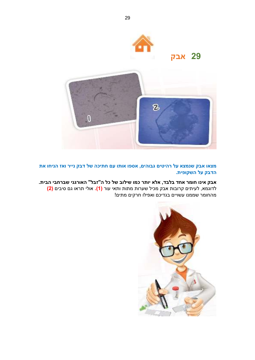

**ʷʡʠ 29**



<mark>מצאו אבק שנמצא על רהיטים גבוהים, אספו אותו עם חתיכה של דבק נייר ואז הניחו את</mark> הדבק על השקופית.

אבק אינו חומר אחד בלבד, אלא יותר כמו שילוב של כל ה"זבל" האורגני שברחבי הבית. לדוגמא, לעיתים קרובות אבק מכיל שערות מתות ותאי עור <mark>(1).</mark> אולי תראו גם סיבים <mark>(2</mark>) מהחומר שממנו עשויים בגדיכם ואפילו חרקים מתים!

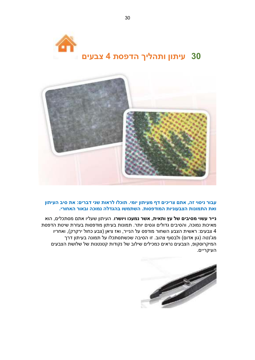



#### עבור ניסוי זה, אתם צריכים דף מעיתון יומי. תוכלו לראות שני דברים: את סיב העיתון <mark>ואת התמונות הצבעוניות המודפסות. השתמשו בהגדלה נמוכה ובאור האחורי.</mark>

**נייר עשוי מסיבים של עץ ותאית, אשר נמעכו ויושרו**. העיתון שעליו אתם מסתכלים, הוא מאיכות נמוכה, והסיבים גדולים וגסים יותר. תמונות בעיתון מודפסות בעזרת שיטת הדפסת נבעים: ראשית הצבע השחור מודפס על הנייר, ואז ציאן (צבע כחול ירקרק), ואחריו 4 מג'נטה (גון אדום) ולבסוף צהוב. זו הסיבה שכשתסתכלו על תמונה בעיתון דרך המיקרוסקופ, הצבעים נראים כמכילים שילוב של נקודות קטנטנות של שלושת הצבעים העיקריים.